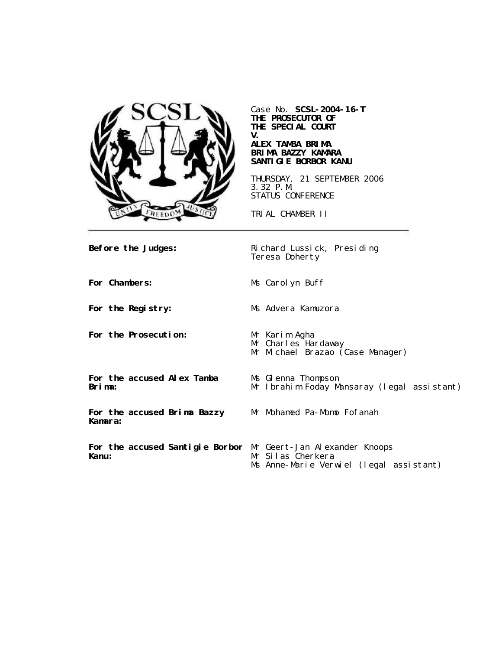

Case No. **SCSL-2004-16-T THE PROSECUTOR OF THE SPECIAL COURT V.**

### **ALEX TAMBA BRIMA BRIMA BAZZY KAMARA SANTIGIE BORBOR KANU**

THURSDAY, 21 SEPTEMBER 2006 3.32 P.M. STATUS CONFERENCE

TRIAL CHAMBER II

**Before the Judges:** Richard Lussick, Presiding Teresa Doherty **For Chambers:** Ms Carolyn Buff **For the Registry:** Ms Advera Kamuzora **For the Prosecution:** Mr Karim Agha Mr Charles Hardaway Mr Michael Brazao (Case Manager) **For the accused Alex Tamba Brima:** Ms Glenna Thompson Mr Ibrahim Foday Mansaray (legal assistant) **For the accused Brima Bazzy Kamara:** Mr Mohamed Pa-Momo Fofanah **For the accused Santigie Borbor** Mr Geert-Jan Alexander Knoops **Kanu:** Mr Silas Cherkera Ms Anne-Marie Verwiel (legal assistant)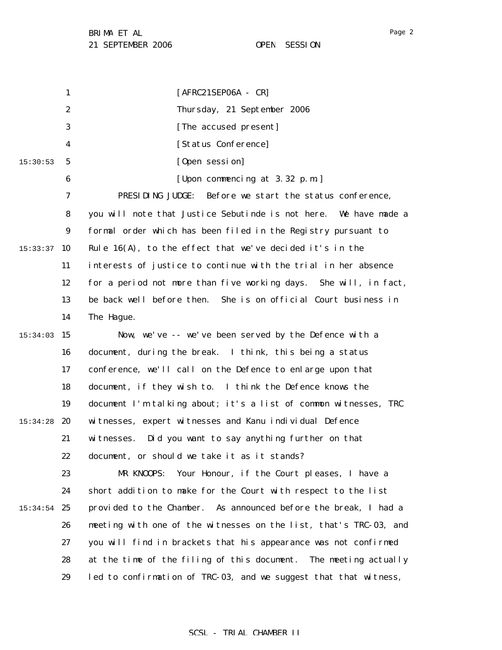1 2 3 4 5 6 7 8 9  $15:33:37$  10 11 12 13 14 15:34:03 15 16 17 18 19 15:34:28 **20** 21 22 23 24  $15:34:54$  25 26 27 28 29 15:30:53 [AFRC21SEP06A - CR] Thursday, 21 September 2006 [The accused present] [Status Conference] [Open session] [Upon commencing at 3.32 p.m.] PRESIDING JUDGE: Before we start the status conference, you will note that Justice Sebutinde is not here. We have made a formal order which has been filed in the Registry pursuant to Rule 16(A), to the effect that we've decided it's in the interests of justice to continue with the trial in her absence for a period not more than five working days. She will, in fact, be back well before then. She is on official Court business in The Hague. Now, we've -- we've been served by the Defence with a document, during the break. I think, this being a status conference, we'll call on the Defence to enlarge upon that document, if they wish to. I think the Defence knows the document I'm talking about; it's a list of common witnesses, TRC witnesses, expert witnesses and Kanu individual Defence witnesses. Did you want to say anything further on that document, or should we take it as it stands? MR KNOOPS: Your Honour, if the Court pleases, I have a short addition to make for the Court with respect to the list provided to the Chamber. As announced before the break, I had a meeting with one of the witnesses on the list, that's TRC-03, and you will find in brackets that his appearance was not confirmed at the time of the filing of this document. The meeting actually led to confirmation of TRC-03, and we suggest that that witness,

### SCSL - TRIAL CHAMBER II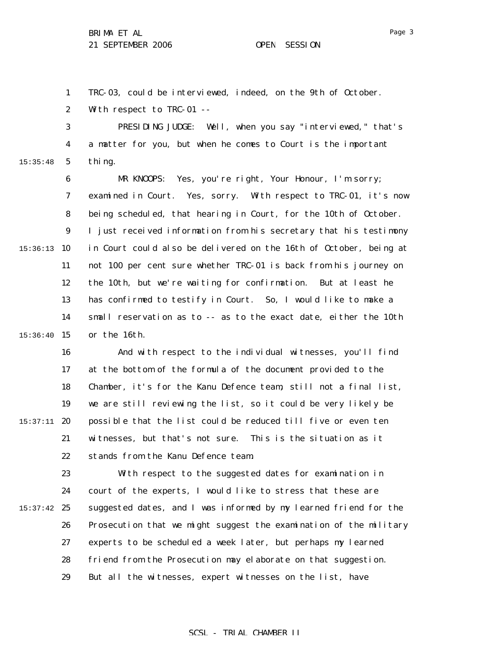1 TRC-03, could be interviewed, indeed, on the 9th of October.

2 With respect to TRC-01 --

3 4 5 PRESIDING JUDGE: Well, when you say "interviewed," that's a matter for you, but when he comes to Court is the important thing.

6 7 8 9  $15:36:13$  10 11 12 13 14 15:36:40 15 MR KNOOPS: Yes, you're right, Your Honour, I'm sorry; examined in Court. Yes, sorry. With respect to TRC-01, it's now being scheduled, that hearing in Court, for the 10th of October. I just received information from his secretary that his testimony in Court could also be delivered on the 16th of October, being at not 100 per cent sure whether TRC-01 is back from his journey on the 10th, but we're waiting for confirmation. But at least he has confirmed to testify in Court. So, I would like to make a small reservation as to -- as to the exact date, either the 10th or the 16th.

16 17 18 19  $15:37:11$  20 21 22 And with respect to the individual witnesses, you'll find at the bottom of the formula of the document provided to the Chamber, it's for the Kanu Defence team, still not a final list, we are still reviewing the list, so it could be very likely be possible that the list could be reduced till five or even ten witnesses, but that's not sure. This is the situation as it stands from the Kanu Defence team.

23 24  $15:37:42$  25 26 27 28 29 With respect to the suggested dates for examination in court of the experts, I would like to stress that these are suggested dates, and I was informed by my learned friend for the Prosecution that we might suggest the examination of the military experts to be scheduled a week later, but perhaps my learned friend from the Prosecution may elaborate on that suggestion. But all the witnesses, expert witnesses on the list, have

### SCSL - TRIAL CHAMBER II

15:35:48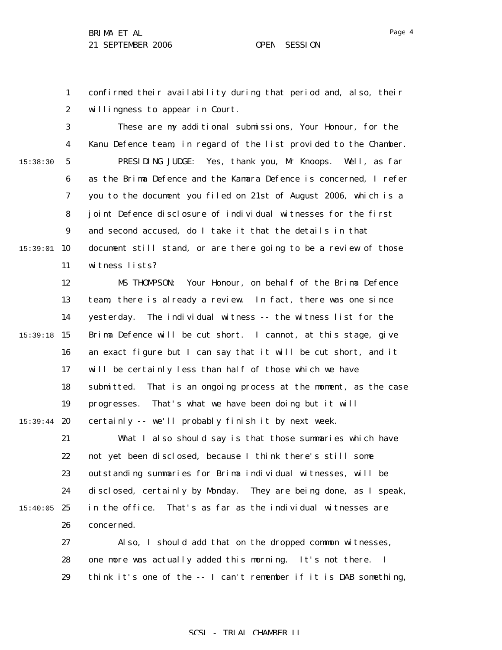Page 4

1 2 confirmed their availability during that period and, also, their willingness to appear in Court.

3 4 5 6 7 8 9  $15:39:01$  10 11 15:38:30 These are my additional submissions, Your Honour, for the Kanu Defence team, in regard of the list provided to the Chamber. PRESIDING JUDGE: Yes, thank you, Mr Knoops. Well, as far as the Brima Defence and the Kamara Defence is concerned, I refer you to the document you filed on 21st of August 2006, which is a joint Defence disclosure of individual witnesses for the first and second accused, do I take it that the details in that document still stand, or are there going to be a review of those witness lists?

12 13 14 15 15:39:18 16 17 18 19 15:39:44 **20** 21 22 23 24 MS THOMPSON: Your Honour, on behalf of the Brima Defence team, there is already a review. In fact, there was one since yesterday. The individual witness -- the witness list for the Brima Defence will be cut short. I cannot, at this stage, give an exact figure but I can say that it will be cut short, and it will be certainly less than half of those which we have submitted. That is an ongoing process at the moment, as the case progresses. That's what we have been doing but it will certainly -- we'll probably finish it by next week. What I also should say is that those summaries which have not yet been disclosed, because I think there's still some outstanding summaries for Brima individual witnesses, will be disclosed, certainly by Monday. They are being done, as I speak,

 $15:40:05$  25

26 concerned.

27 28 29 Also, I should add that on the dropped common witnesses, one more was actually added this morning. It's not there. I think it's one of the -- I can't remember if it is DAB something,

in the office. That's as far as the individual witnesses are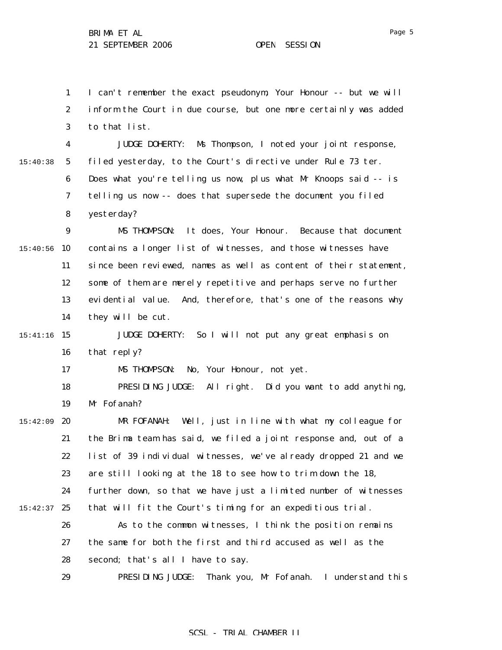1

I can't remember the exact pseudonym, Your Honour -- but we will

2 3 4 5 6 7 8 9  $15:40:56$  10 11 12 13 14 15 15:41:16 16 17 18 19 15:42:09 **20** 21 22 23 24  $15:42:37$  25 26 27 28 29 15:40:38 inform the Court in due course, but one more certainly was added to that list. JUDGE DOHERTY: Ms Thompson, I noted your joint response, filed yesterday, to the Court's directive under Rule 73 *ter*. Does what you're telling us now, plus what Mr Knoops said -- is telling us now -- does that supersede the document you filed yesterday? MS THOMPSON: It does, Your Honour. Because that document contains a longer list of witnesses, and those witnesses have since been reviewed, names as well as content of their statement, some of them are merely repetitive and perhaps serve no further evidential value. And, therefore, that's one of the reasons why they will be cut. JUDGE DOHERTY: So I will not put any great emphasis on that reply? MS THOMPSON: No, Your Honour, not yet. PRESIDING JUDGE: All right. Did you want to add anything, Mr Fofanah? MR FOFANAH: Well, just in line with what my colleague for the Brima team has said, we filed a joint response and, out of a list of 39 individual witnesses, we've already dropped 21 and we are still looking at the 18 to see how to trim down the 18, further down, so that we have just a limited number of witnesses that will fit the Court's timing for an expeditious trial. As to the common witnesses, I think the position remains the same for both the first and third accused as well as the second; that's all I have to say. PRESIDING JUDGE: Thank you, Mr Fofanah. I understand this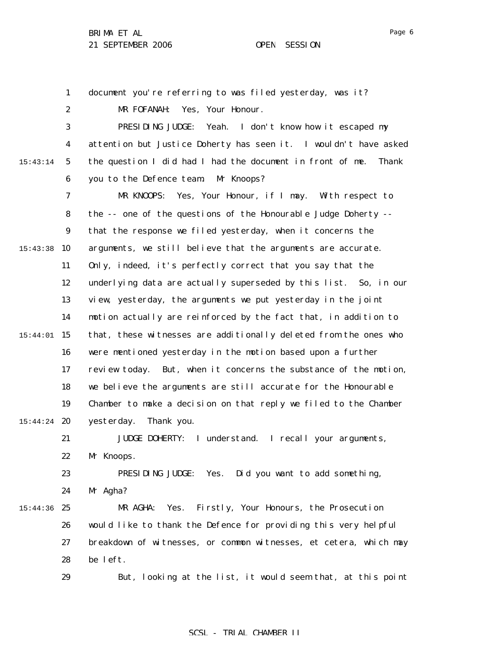Page 6

|          | $\mathbf{1}$     | document you're referring to was filed yesterday, was it?           |
|----------|------------------|---------------------------------------------------------------------|
|          | $\boldsymbol{2}$ | Yes, Your Honour.<br>MR FOFANAH:                                    |
|          | 3                | PRESIDING JUDGE: Yeah. I don't know how it escaped my               |
|          | 4                | attention but Justice Doherty has seen it. I wouldn't have asked    |
| 15:43:14 | $5\phantom{.0}$  | the question I did had I had the document in front of me.<br>Thank  |
|          | $\boldsymbol{6}$ | you to the Defence team.<br>Mr Knoops?                              |
|          | 7                | Yes, Your Honour, if I may. With respect to<br>MR KNOOPS:           |
|          | 8                | the -- one of the questions of the Honourable Judge Doherty --      |
|          | $\boldsymbol{9}$ | that the response we filed yesterday, when it concerns the          |
| 15:43:38 | 10               | arguments, we still believe that the arguments are accurate.        |
|          | 11               | Only, indeed, it's perfectly correct that you say that the          |
|          | 12               | underlying data are actually superseded by this list. So, in our    |
|          | 13               | view, yesterday, the arguments we put yesterday in the joint        |
|          | 14               | motion actually are reinforced by the fact that, in addition to     |
| 15:44:01 | 15               | that, these witnesses are additionally deleted from the ones who    |
|          | 16               | were mentioned yesterday in the motion based upon a further         |
|          | 17               | But, when it concerns the substance of the motion,<br>review today. |
|          | 18               | we believe the arguments are still accurate for the Honourable      |
|          | 19               | Chamber to make a decision on that reply we filed to the Chamber    |
| 15:44:24 | 20               | yesterday.<br>Thank you.                                            |
|          | 21               | JUDGE DOHERTY: I understand. I recall your arguments,               |
|          | 22               | Mr Knoops.                                                          |
|          | 23               | PRESIDING JUDGE: Yes.<br>Did you want to add something,             |
|          | 24               | Mr Agha?                                                            |
| 15:44:36 | 25               | Firstly, Your Honours, the Prosecution<br>MR AGHA:<br>Yes.          |
|          | 26               | would like to thank the Defence for providing this very helpful     |
|          | 27               | breakdown of witnesses, or common witnesses, et cetera, which may   |
|          | 28               | be left.                                                            |
|          | 29               | But, looking at the list, it would seem that, at this point         |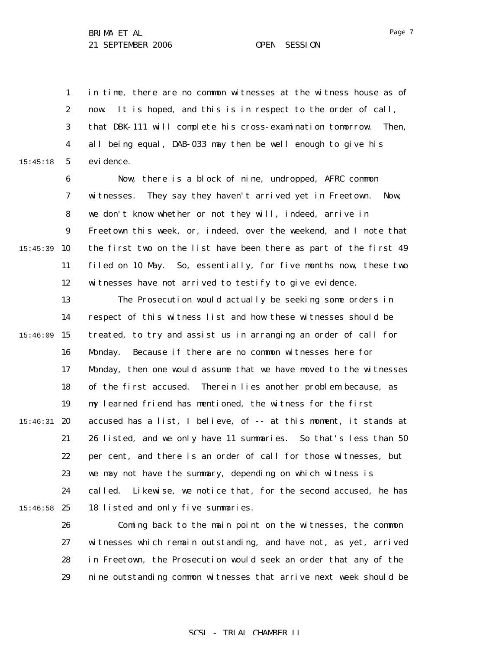15:45:18

1 2 3 4 5 in time, there are no common witnesses at the witness house as of now. It is hoped, and this is in respect to the order of call, that DBK-111 will complete his cross-examination tomorrow. Then, all being equal, DAB-033 may then be well enough to give his evidence.

6 7 8 9 15:45:39 10 11 12 Now, there is a block of nine, undropped, AFRC common witnesses. They say they haven't arrived yet in Freetown. Now, we don't know whether or not they will, indeed, arrive in Freetown this week, or, indeed, over the weekend, and I note that the first two on the list have been there as part of the first 49 filed on 10 May. So, essentially, for five months now, these two witnesses have not arrived to testify to give evidence.

13 14 15:46:09 15 16 17 18 19  $15:46:31$  20 21 22 23 24  $15:46:58$  25 The Prosecution would actually be seeking some orders in respect of this witness list and how these witnesses should be treated, to try and assist us in arranging an order of call for Monday. Because if there are no common witnesses here for Monday, then one would assume that we have moved to the witnesses of the first accused. Therein lies another problem because, as my learned friend has mentioned, the witness for the first accused has a list, I believe, of -- at this moment, it stands at 26 listed, and we only have 11 summaries. So that's less than 50 per cent, and there is an order of call for those witnesses, but we may not have the summary, depending on which witness is called. Likewise, we notice that, for the second accused, he has 18 listed and only five summaries.

> 26 27 28 29 Coming back to the main point on the witnesses, the common witnesses which remain outstanding, and have not, as yet, arrived in Freetown, the Prosecution would seek an order that any of the nine outstanding common witnesses that arrive next week should be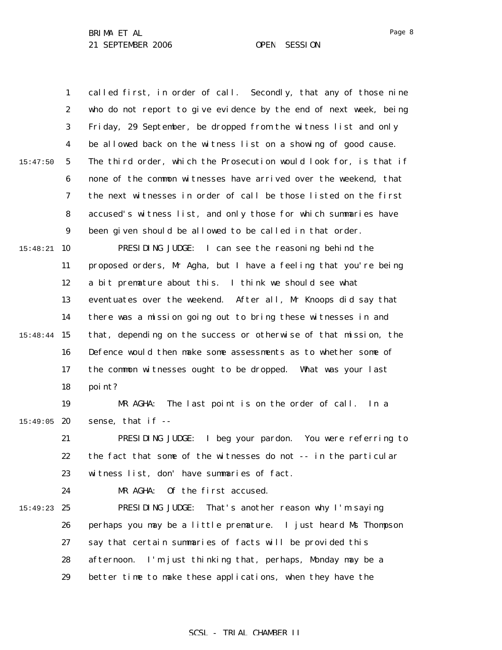1 2 3 4 5 6 7 8 9 15:48:21 10 11 12 13 14 15 15:48:44 16 17 18 19  $15:49:05$  20 21 22 23 24 15:49:23 25 26 27 28 29 15:47:50 called first, in order of call. Secondly, that any of those nine who do not report to give evidence by the end of next week, being Friday, 29 September, be dropped from the witness list and only be allowed back on the witness list on a showing of good cause. The third order, which the Prosecution would look for, is that if none of the common witnesses have arrived over the weekend, that the next witnesses in order of call be those listed on the first accused's witness list, and only those for which summaries have been given should be allowed to be called in that order. PRESIDING JUDGE: I can see the reasoning behind the proposed orders, Mr Agha, but I have a feeling that you're being a bit premature about this. I think we should see what eventuates over the weekend. After all, Mr Knoops did say that there was a mission going out to bring these witnesses in and that, depending on the success or otherwise of that mission, the Defence would then make some assessments as to whether some of the common witnesses ought to be dropped. What was your last point? MR AGHA: The last point is on the order of call. In a sense, that if -- PRESIDING JUDGE: I beg your pardon. You were referring to the fact that some of the witnesses do not -- in the particular witness list, don' have summaries of fact. MR AGHA: Of the first accused. PRESIDING JUDGE: That's another reason why I'm saying perhaps you may be a little premature. I just heard Ms Thompson say that certain summaries of facts will be provided this afternoon. I'm just thinking that, perhaps, Monday may be a better time to make these applications, when they have the

SCSL - TRIAL CHAMBER II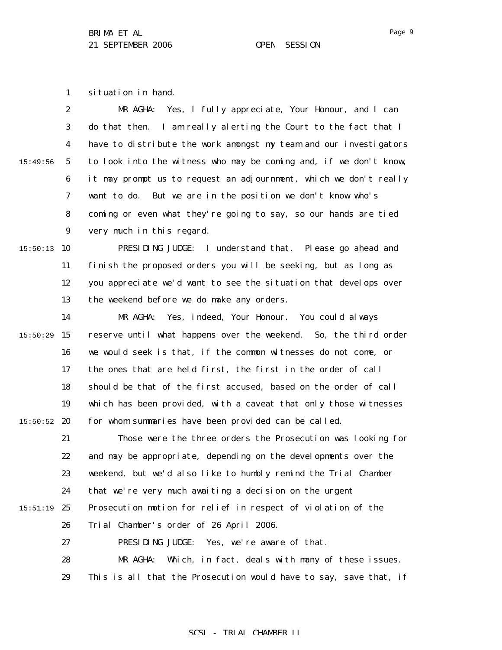1 situation in hand.

|          | $\boldsymbol{2}$ | Yes, I fully appreciate, Your Honour, and I can<br>MR AGHA:       |
|----------|------------------|-------------------------------------------------------------------|
|          | 3                | do that then. I am really alerting the Court to the fact that I   |
|          | 4                | have to distribute the work amongst my team and our investigators |
| 15:49:56 | $\mathbf{5}$     | to look into the witness who may be coming and, if we don't know, |
|          | 6                | it may prompt us to request an adjournment, which we don't really |
|          | 7                | want to do. But we are in the position we don't know who's        |
|          | 8                | coming or even what they're going to say, so our hands are tied   |
|          | $\boldsymbol{9}$ | very much in this regard.                                         |
| 15:50:13 | 10               | I understand that. Please go ahead and<br>PRESIDING JUDGE:        |
|          | 11               | finish the proposed orders you will be seeking, but as long as    |
|          | 12               | you appreciate we'd want to see the situation that develops over  |
|          | 13               | the weekend before we do make any orders.                         |
|          | 14               | Yes, indeed, Your Honour. You could always<br>MR AGHA:            |
| 15:50:29 | 15               | reserve until what happens over the weekend. So, the third order  |
|          | 16               | we would seek is that, if the common witnesses do not come, or    |
|          | 17               | the ones that are held first, the first in the order of call      |
|          | 18               | should be that of the first accused, based on the order of call   |
|          | 19               | which has been provided, with a caveat that only those witnesses  |
| 15:50:52 | 20               | for whom summaries have been provided can be called.              |
|          | 21               | Those were the three orders the Prosecution was looking for       |
|          | 22               | and may be appropriate, depending on the developments over the    |
|          | 23               | weekend, but we'd also like to humbly remind the Trial Chamber    |
|          | 24               | that we're very much awaiting a decision on the urgent            |
| 15:51:19 | 25               | Prosecution motion for relief in respect of violation of the      |
|          | 26               | Trial Chamber's order of 26 April 2006.                           |
|          | 27               | PRESIDING JUDGE: Yes, we're aware of that.                        |
|          | 28               | Which, in fact, deals with many of these issues.<br>MR AGHA:      |
|          | 29               | This is all that the Prosecution would have to say, save that, if |

Page 9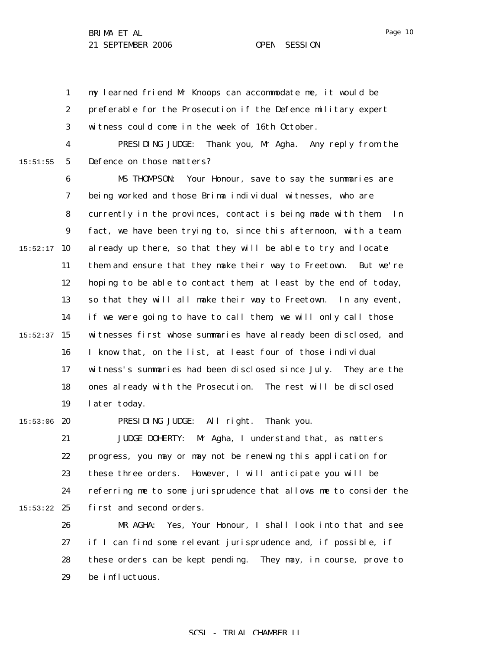1 2 3 my learned friend Mr Knoops can accommodate me, it would be preferable for the Prosecution if the Defence military expert witness could come in the week of 16th October.

15:51:55

4 5 PRESIDING JUDGE: Thank you, Mr Agha. Any reply from the Defence on those matters?

6 7 8 9  $15:52:17$  10 11 12 13 14  $15:52:37$  15 16 17 18 19 MS THOMPSON: Your Honour, save to say the summaries are being worked and those Brima individual witnesses, who are currently in the provinces, contact is being made with them. In fact, we have been trying to, since this afternoon, with a team already up there, so that they will be able to try and locate them and ensure that they make their way to Freetown. But we're hoping to be able to contact them, at least by the end of today, so that they will all make their way to Freetown. In any event, if we were going to have to call them, we will only call those witnesses first whose summaries have already been disclosed, and I know that, on the list, at least four of those individual witness's summaries had been disclosed since July. They are the ones already with the Prosecution. The rest will be disclosed later today.

 $15:53:06$  20

PRESIDING JUDGE: All right. Thank you.

21 22 23 24  $15:53:22$  25 JUDGE DOHERTY: Mr Agha, I understand that, as matters progress, you may or may not be renewing this application for these three orders. However, I will anticipate you will be referring me to some jurisprudence that allows me to consider the first and second orders.

26 27 28 29 MR AGHA: Yes, Your Honour, I shall look into that and see if I can find some relevant jurisprudence and, if possible, if these orders can be kept pending. They may, in course, prove to be influctuous.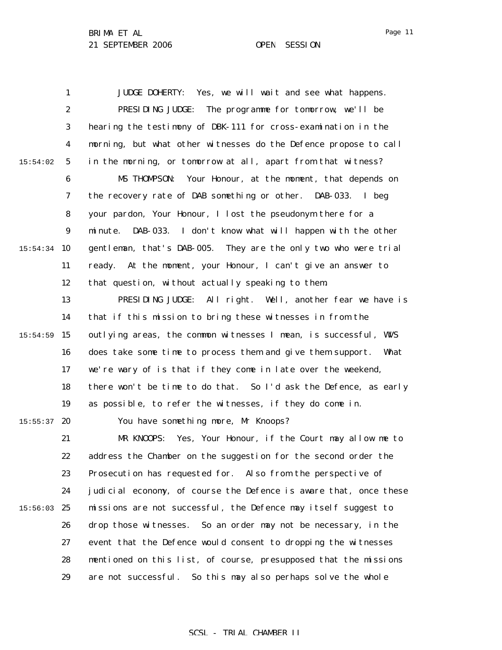1 2 3 4 5 6 7 8 9  $15:54:34$  10 11 12 13 14 15:54:59 15 16 17 18 19  $15:55:37$  20 21 22 23 24  $15:56:03$  25 26 27 28 29 15:54:02 JUDGE DOHERTY: Yes, we will wait and see what happens. PRESIDING JUDGE: The programme for tomorrow, we'll be hearing the testimony of DBK-111 for cross-examination in the morning, but what other witnesses do the Defence propose to call in the morning, or tomorrow at all, apart from that witness? MS THOMPSON: Your Honour, at the moment, that depends on the recovery rate of DAB something or other. DAB-033. I beg your pardon, Your Honour, I lost the pseudonym there for a minute. DAB-033. I don't know what will happen with the other gentleman, that's DAB-005. They are the only two who were trial ready. At the moment, your Honour, I can't give an answer to that question, without actually speaking to them. PRESIDING JUDGE: All right. Well, another fear we have is that if this mission to bring these witnesses in from the outlying areas, the common witnesses I mean, is successful, WVS does take some time to process them and give them support. What we're wary of is that if they come in late over the weekend, there won't be time to do that. So I'd ask the Defence, as early as possible, to refer the witnesses, if they do come in. You have something more, Mr Knoops? MR KNOOPS: Yes, Your Honour, if the Court may allow me to address the Chamber on the suggestion for the second order the Prosecution has requested for. Also from the perspective of judicial economy, of course the Defence is aware that, once these missions are not successful, the Defence may itself suggest to drop those witnesses. So an order may not be necessary, in the event that the Defence would consent to dropping the witnesses mentioned on this list, of course, presupposed that the missions are not successful. So this may also perhaps solve the whole

### Page 11